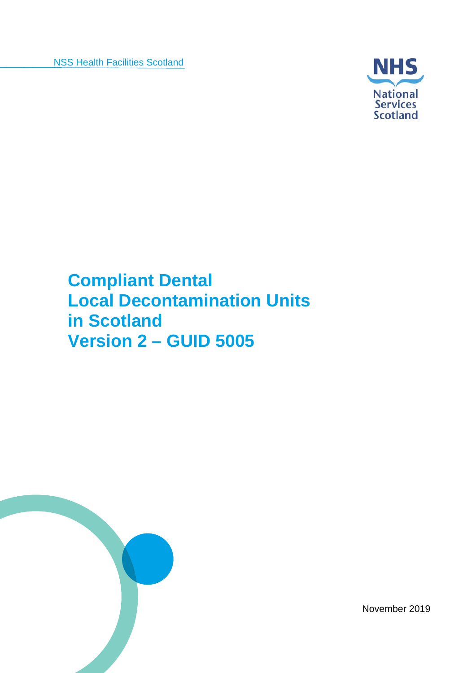

**Compliant Dental Local Decontamination Units in Scotland Version 2 – GUID 5005** 



November 2019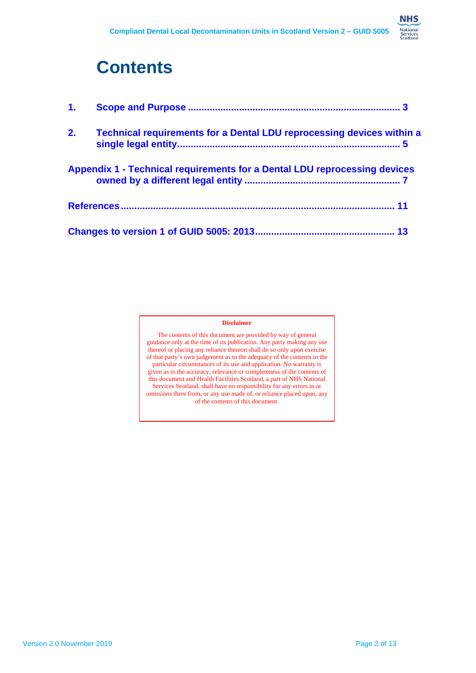

| 2. | <b>Technical requirements for a Dental LDU reprocessing devices within a</b>     |
|----|----------------------------------------------------------------------------------|
|    | <b>Appendix 1 - Technical requirements for a Dental LDU reprocessing devices</b> |
|    |                                                                                  |
|    |                                                                                  |

#### **Disclaimer**

The contents of this document are provided by way of general guidance only at the time of its publication. Any party making any use thereof or placing any reliance thereon shall do so only upon exercise of that party's own judgement as to the adequacy of the contents in the particular circumstances of its use and application. No warranty is given as to the accuracy, relevance or completeness of the contents of this document and Health Facilities Scotland, a part of NHS National Services Scotland, shall have no responsibility for any errors in or omissions there from, or any use made of, or reliance placed upon, any of the contents of this document.

**NHS**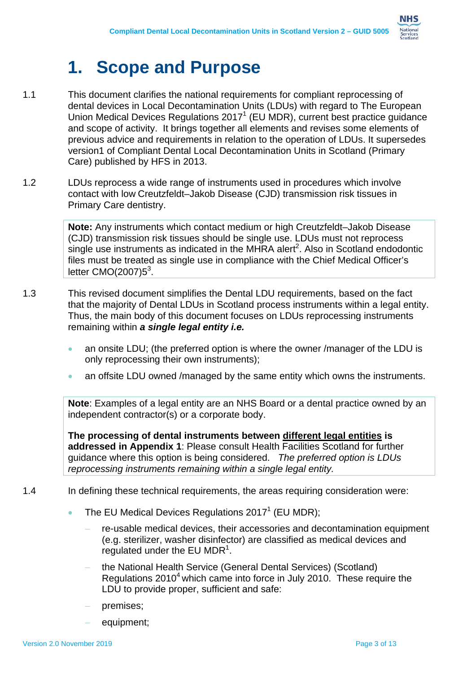

- 1.1 This document clarifies the national requirements for compliant reprocessing of dental devices in Local Decontamination Units (LDUs) with regard to The European Union Medical Devices Regulations 2017<sup>1</sup> (EU MDR), current best practice guidance and scope of activity. It brings together all elements and revises some elements of previous advice and requirements in relation to the operation of LDUs. It supersedes version1 of Compliant Dental Local Decontamination Units in Scotland (Primary Care) published by HFS in 2013.
- 1.2 LDUs reprocess a wide range of instruments used in procedures which involve contact with low Creutzfeldt–Jakob Disease (CJD) transmission risk tissues in Primary Care dentistry.

**Note:** Any instruments which contact medium or high Creutzfeldt–Jakob Disease (CJD) transmission risk tissues should be single use. LDUs must not reprocess single use instruments as indicated in the MHRA alert<sup>2</sup>. Also in Scotland endodontic files must be treated as single use in compliance with the Chief Medical Officer's letter  $CMO(2007)5<sup>3</sup>$ .

- 1.3 This revised document simplifies the Dental LDU requirements, based on the fact that the majority of Dental LDUs in Scotland process instruments within a legal entity. Thus, the main body of this document focuses on LDUs reprocessing instruments remaining within *a single legal entity i.e.* 
	- an onsite LDU; (the preferred option is where the owner /manager of the LDU is only reprocessing their own instruments);
	- an offsite LDU owned /managed by the same entity which owns the instruments.

**Note**: Examples of a legal entity are an NHS Board or a dental practice owned by an independent contractor(s) or a corporate body.

**The processing of dental instruments between different legal entities is addressed in Appendix 1**: Please consult Health Facilities Scotland for further guidance where this option is being considered. *The preferred option is LDUs reprocessing instruments remaining within a single legal entity.* 

#### 1.4 In defining these technical requirements, the areas requiring consideration were:

- The EU Medical Devices Regulations 2017<sup>1</sup> (EU MDR);
	- re-usable medical devices, their accessories and decontamination equipment (e.g. sterilizer, washer disinfector) are classified as medical devices and regulated under the EU MDR $<sup>1</sup>$ .</sup>
	- the National Health Service (General Dental Services) (Scotland) Regulations  $2010<sup>4</sup>$  which came into force in July 2010. These require the LDU to provide proper, sufficient and safe:
	- premises;
	- equipment;

**NHS** National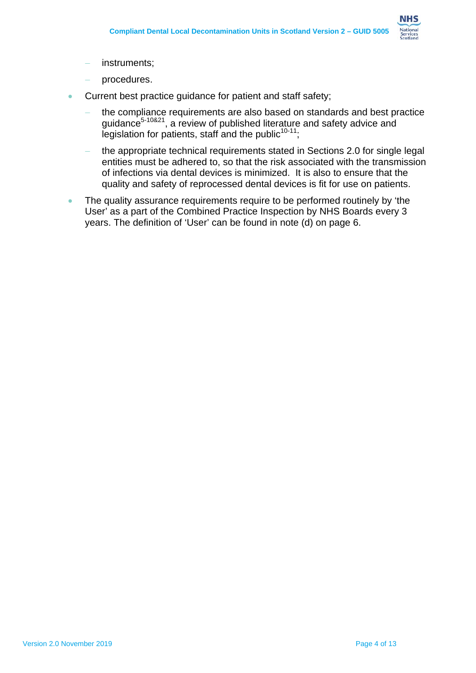

- instruments;
- procedures.
- Current best practice guidance for patient and staff safety;
	- the compliance requirements are also based on standards and best practice guidance<sup>5-10&21</sup>, a review of published literature and safety advice and legislation for patients, staff and the public $10-11$ .
	- the appropriate technical requirements stated in Sections 2.0 for single legal entities must be adhered to, so that the risk associated with the transmission of infections via dental devices is minimized. It is also to ensure that the quality and safety of reprocessed dental devices is fit for use on patients.
- The quality assurance requirements require to be performed routinely by 'the User' as a part of the Combined Practice Inspection by NHS Boards every 3 years. The definition of 'User' can be found in note (d) on page 6.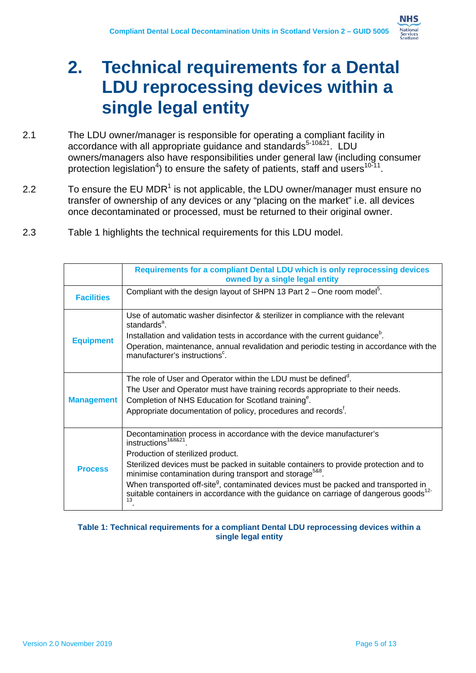

### **2. Technical requirements for a Dental LDU reprocessing devices within a single legal entity**

- 2.1 The LDU owner/manager is responsible for operating a compliant facility in accordance with all appropriate guidance and standards<sup>5-10&21</sup>. LDU owners/managers also have responsibilities under general law (including consumer protection legislation<sup>4</sup>) to ensure the safety of patients, staff and users<sup>10-11</sup>.
- 2.2  $\blacksquare$  To ensure the EU MDR<sup>1</sup> is not applicable, the LDU owner/manager must ensure no transfer of ownership of any devices or any "placing on the market" i.e. all devices once decontaminated or processed, must be returned to their original owner.
- 2.3 Table 1 highlights the technical requirements for this LDU model.

|                   | Requirements for a compliant Dental LDU which is only reprocessing devices<br>owned by a single legal entity                                                                                               |
|-------------------|------------------------------------------------------------------------------------------------------------------------------------------------------------------------------------------------------------|
| <b>Facilities</b> | Compliant with the design layout of SHPN 13 Part $2$ – One room model <sup>5</sup> .                                                                                                                       |
|                   | Use of automatic washer disinfector & sterilizer in compliance with the relevant<br>standards <sup>a</sup> .                                                                                               |
|                   | Installation and validation tests in accordance with the current guidance <sup>b</sup> .                                                                                                                   |
| <b>Equipment</b>  | Operation, maintenance, annual revalidation and periodic testing in accordance with the<br>manufacturer's instructions <sup>c</sup> .                                                                      |
|                   | The role of User and Operator within the LDU must be defined <sup>d</sup> .                                                                                                                                |
|                   | The User and Operator must have training records appropriate to their needs.                                                                                                                               |
| <b>Management</b> | Completion of NHS Education for Scotland training <sup>e</sup> .                                                                                                                                           |
|                   | Appropriate documentation of policy, procedures and records <sup>t</sup> .                                                                                                                                 |
|                   | Decontamination process in accordance with the device manufacturer's<br>instructions <sup>1&amp;8&amp;21</sup>                                                                                             |
|                   | Production of sterilized product.                                                                                                                                                                          |
| <b>Process</b>    | Sterilized devices must be packed in suitable containers to provide protection and to<br>minimise contamination during transport and storage <sup>5&amp;8</sup> .                                          |
|                   | When transported off-site <sup>g</sup> , contaminated devices must be packed and transported in<br>suitable containers in accordance with the guidance on carriage of dangerous goods <sup>12-</sup><br>13 |

#### **Table 1: Technical requirements for a compliant Dental LDU reprocessing devices within a single legal entity**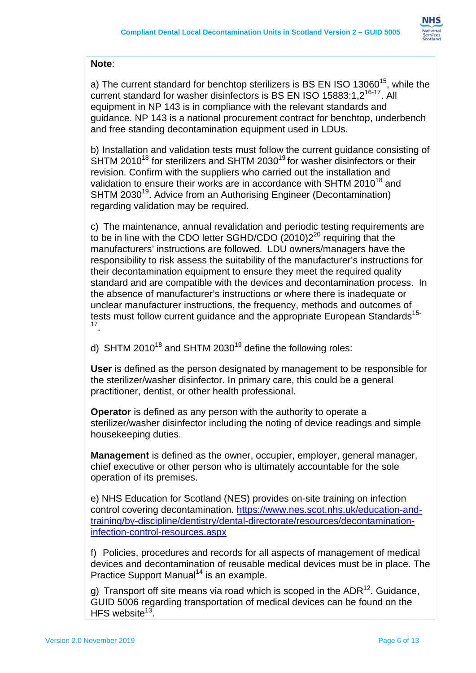

#### **Note**:

and free standing decontamination equipment used in LDUs. a) The current standard for benchtop sterilizers is BS EN ISO 13060<sup>15</sup>, while the current standard for washer disinfectors is BS EN ISO 15883:1,2<sup>16-17</sup>. All equipment in NP 143 is in compliance with the relevant standards and guidance. NP 143 is a national procurement contract for benchtop, underbench

and free standing decontamination equipment used in LDUs.<br>b) Installation and validation tests must follow the current guidance consisting of SHTM 2010<sup>18</sup> for sterilizers and SHTM 2030<sup>19</sup> for washer disinfectors or their revision. Confirm with the suppliers who carried out the installation and validation to ensure their works are in accordance with SHTM 2010<sup>18</sup> and SHTM 2030<sup>19</sup>. Advice from an Authorising Engineer (Decontamination) regarding validation may be required.

 c) The maintenance, annual revalidation and periodic testing requirements are to be in line with the CDO letter SGHD/CDO  $(2010)2^{20}$  requiring that the manufacturers' instructions are followed. LDU owners/managers have the responsibility to risk assess the suitability of the manufacturer's instructions for their decontamination equipment to ensure they meet the required quality standard and are compatible with the devices and decontamination process. In the absence of manufacturer's instructions or where there is inadequate or unclear manufacturer instructions, the frequency, methods and outcomes of tests must follow current guidance and the appropriate European Standards<sup>15-</sup> 17 .

### d) SHTM 2010<sup>18</sup> and SHTM 2030<sup>19</sup> define the following roles:

 practitioner, dentist, or other health professional. **User** is defined as the person designated by management to be responsible for the sterilizer/washer disinfector. In primary care, this could be a general

**Operator** is defined as any person with the authority to operate a sterilizer/washer disinfector including the noting of device readings and simple housekeeping duties.

**Management** is defined as the owner, occupier, employer, general manager, chief executive or other person who is ultimately accountable for the sole operation of its premises.

e) NHS Education for Scotland (NES) provides on-site training on infection control covering decontamination.<https://www.nes.scot.nhs.uk/education-and>training/by-discipline/dentistry/dental-directorate/resources/decontaminationinfection-control-resources.aspx

 f) Policies, procedures and records for all aspects of management of medical devices and decontamination of reusable medical devices must be in place. The Practice Support Manual<sup>14</sup> is an example.

g) Transport off site means via road which is scoped in the ADR<sup>12</sup>. Guidance, GUID 5006 regarding transportation of medical devices can be found on the HFS website $13$ .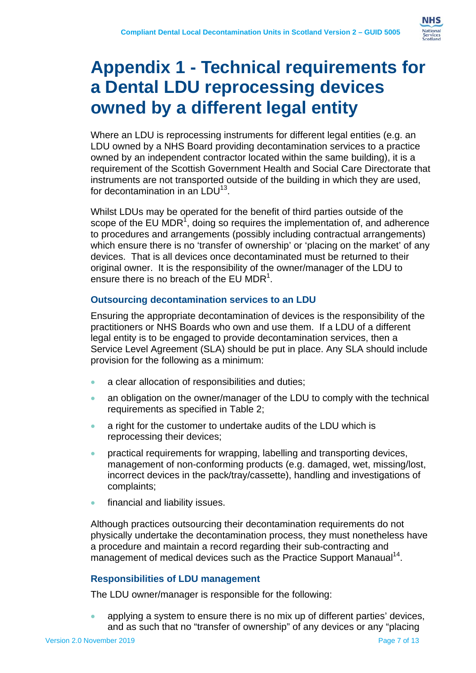

## **Appendix 1 - Technical requirements for a Dental LDU reprocessing devices owned by a different legal entity**

Where an LDU is reprocessing instruments for different legal entities (e.g. an LDU owned by a NHS Board providing decontamination services to a practice owned by an independent contractor located within the same building), it is a requirement of the Scottish Government Health and Social Care Directorate that instruments are not transported outside of the building in which they are used, for decontamination in an  $1 \text{ D}U^{13}$ .

Whilst LDUs may be operated for the benefit of third parties outside of the scope of the EU MDR<sup>1</sup>, doing so requires the implementation of, and adherence to procedures and arrangements (possibly including contractual arrangements) which ensure there is no 'transfer of ownership' or 'placing on the market' of any devices. That is all devices once decontaminated must be returned to their original owner. It is the responsibility of the owner/manager of the LDU to ensure there is no breach of the EU MDR<sup>1</sup>.

### **Outsourcing decontamination services to an LDU**

Ensuring the appropriate decontamination of devices is the responsibility of the practitioners or NHS Boards who own and use them. If a LDU of a different legal entity is to be engaged to provide decontamination services, then a Service Level Agreement (SLA) should be put in place. Any SLA should include provision for the following as a minimum:

- a clear allocation of responsibilities and duties;
- an obligation on the owner/manager of the LDU to comply with the technical requirements as specified in Table 2;
- a right for the customer to undertake audits of the LDU which is reprocessing their devices;
- practical requirements for wrapping, labelling and transporting devices, management of non-conforming products (e.g. damaged, wet, missing/lost, incorrect devices in the pack/tray/cassette), handling and investigations of complaints;
- financial and liability issues.

Although practices outsourcing their decontamination requirements do not physically undertake the decontamination process, they must nonetheless have a procedure and maintain a record regarding their sub-contracting and management of medical devices such as the Practice Support Manaual<sup>14</sup>.

### **Responsibilities of LDU management**

The LDU owner/manager is responsible for the following:

 applying a system to ensure there is no mix up of different parties' devices, and as such that no "transfer of ownership" of any devices or any "placing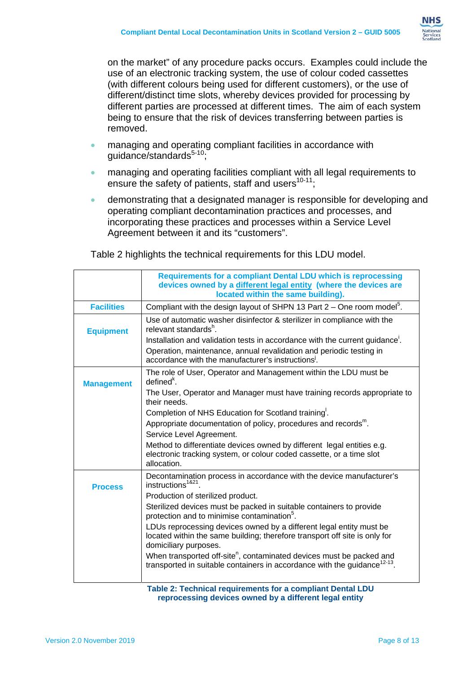

on the market" of any procedure packs occurs. Examples could include the use of an electronic tracking system, the use of colour coded cassettes (with different colours being used for different customers), or the use of different/distinct time slots, whereby devices provided for processing by different parties are processed at different times. The aim of each system being to ensure that the risk of devices transferring between parties is removed.

- **•** managing and operating compliant facilities in accordance with  $guidance/standards<sup>5-10</sup>;$
- managing and operating facilities compliant with all legal requirements to ensure the safety of patients, staff and users $10-11$ ;
- demonstrating that a designated manager is responsible for developing and operating compliant decontamination practices and processes, and incorporating these practices and processes within a Service Level Agreement between it and its "customers".

|                   | Requirements for a compliant Dental LDU which is reprocessing<br>devices owned by a different legal entity (where the devices are<br>located within the same building).                               |
|-------------------|-------------------------------------------------------------------------------------------------------------------------------------------------------------------------------------------------------|
| <b>Facilities</b> | Compliant with the design layout of SHPN 13 Part $2 -$ One room model <sup>5</sup> .                                                                                                                  |
| <b>Equipment</b>  | Use of automatic washer disinfector & sterilizer in compliance with the<br>relevant standards <sup>h</sup> .                                                                                          |
|                   | Installation and validation tests in accordance with the current guidance.<br>Operation, maintenance, annual revalidation and periodic testing in<br>accordance with the manufacturer's instructions. |
| <b>Management</b> | The role of User, Operator and Management within the LDU must be<br>$definedk$ .                                                                                                                      |
|                   | The User, Operator and Manager must have training records appropriate to<br>their needs.                                                                                                              |
|                   | Completion of NHS Education for Scotland training.                                                                                                                                                    |
|                   | Appropriate documentation of policy, procedures and records <sup>m</sup> .                                                                                                                            |
|                   | Service Level Agreement.                                                                                                                                                                              |
|                   | Method to differentiate devices owned by different legal entities e.g.<br>electronic tracking system, or colour coded cassette, or a time slot<br>allocation.                                         |
| <b>Process</b>    | Decontamination process in accordance with the device manufacturer's<br>$in$ structions <sup>1&amp;21</sup>                                                                                           |
|                   | Production of sterilized product.                                                                                                                                                                     |
|                   | Sterilized devices must be packed in suitable containers to provide<br>protection and to minimise contamination <sup>5</sup> .                                                                        |
|                   | LDUs reprocessing devices owned by a different legal entity must be<br>located within the same building; therefore transport off site is only for<br>domiciliary purposes.                            |
|                   | When transported off-site <sup>n</sup> , contaminated devices must be packed and<br>transported in suitable containers in accordance with the guidance <sup>12-13</sup> .                             |
|                   |                                                                                                                                                                                                       |

Table 2 highlights the technical requirements for this LDU model.

**Table 2: Technical requirements for a compliant Dental LDU reprocessing devices owned by a different legal entity**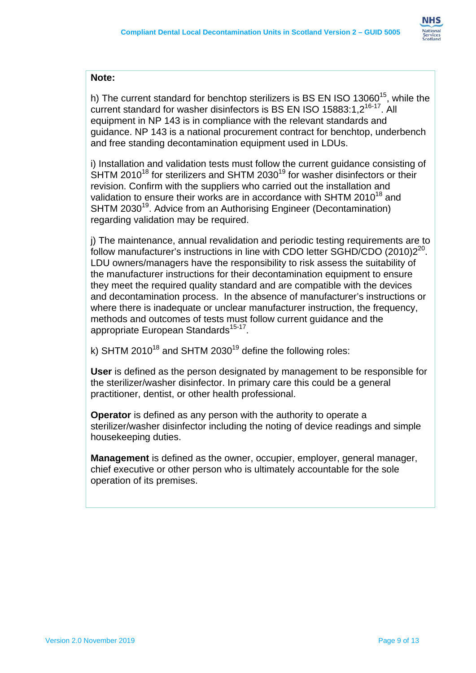

### **Note:**

h) The current standard for benchtop sterilizers is BS EN ISO 13060<sup>15</sup>, while the current standard for washer disinfectors is BS EN ISO 15883:1.2<sup>16-17</sup>. All equipment in NP 143 is in compliance with the relevant standards and guidance. NP 143 is a national procurement contract for benchtop, underbench and free standing decontamination equipment used in LDUs.

i) Installation and validation tests must follow the current guidance consisting of  $S$ HTM 2010<sup>18</sup> for sterilizers and SHTM 2030<sup>19</sup> for washer disinfectors or their revision. Confirm with the suppliers who carried out the installation and validation to ensure their works are in accordance with SHTM 2010<sup>18</sup> and SHTM 2030<sup>19</sup>. Advice from an Authorising Engineer (Decontamination) regarding validation may be required.

j) The maintenance, annual revalidation and periodic testing requirements are to follow manufacturer's instructions in line with CDO letter SGHD/CDO (2010)2<sup>20</sup>. LDU owners/managers have the responsibility to risk assess the suitability of the manufacturer instructions for their decontamination equipment to ensure they meet the required quality standard and are compatible with the devices and decontamination process. In the absence of manufacturer's instructions or where there is inadequate or unclear manufacturer instruction, the frequency, methods and outcomes of tests must follow current guidance and the appropriate European Standards<sup>15-17</sup>.

k) SHTM 2010<sup>18</sup> and SHTM 2030<sup>19</sup> define the following roles:

**User** is defined as the person designated by management to be responsible for the sterilizer/washer disinfector. In primary care this could be a general practitioner, dentist, or other health professional.

**Operator** is defined as any person with the authority to operate a sterilizer/washer disinfector including the noting of device readings and simple housekeeping duties.

**Management** is defined as the owner, occupier, employer, general manager, chief executive or other person who is ultimately accountable for the sole operation of its premises.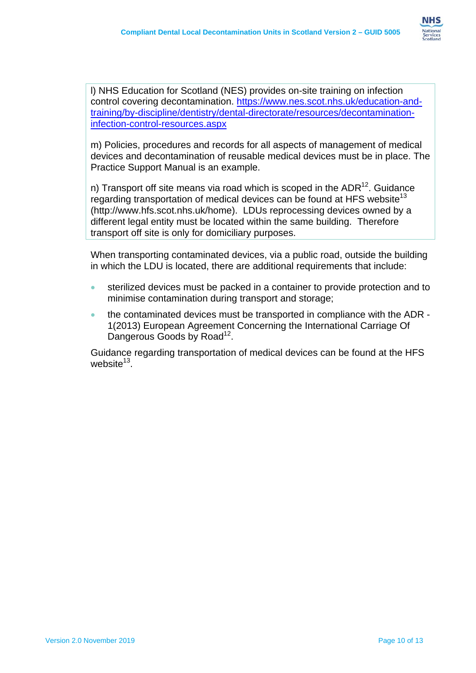

infection-control-resources.aspx l) NHS Education for Scotland (NES) provides on-site training on infection control covering decontamination.<https://www.nes.scot.nhs.uk/education-and>training/by-discipline/dentistry/dental-directorate/resources/decontamination-

m) Policies, procedures and records for all aspects of management of medical devices and decontamination of reusable medical devices must be in place. The Practice Support Manual is an example.

n) Transport off site means via road which is scoped in the  $ADR^{12}$ . Guidance regarding transportation of medical devices can be found at HFS website<sup>13</sup> [\(http://www.hfs.scot.nhs.uk/home](http://www.hfs.scot.nhs.uk/home)). LDUs reprocessing devices owned by a different legal entity must be located within the same building. Therefore transport off site is only for domiciliary purposes.

When transporting contaminated devices, via a public road, outside the building in which the LDU is located, there are additional requirements that include:

- sterilized devices must be packed in a container to provide protection and to minimise contamination during transport and storage;
- the contaminated devices must be transported in compliance with the ADR 1(2013) European Agreement Concerning the International Carriage Of Dangerous Goods by Road<sup>12</sup>.

Guidance regarding transportation of medical devices can be found at the HFS website $13$ .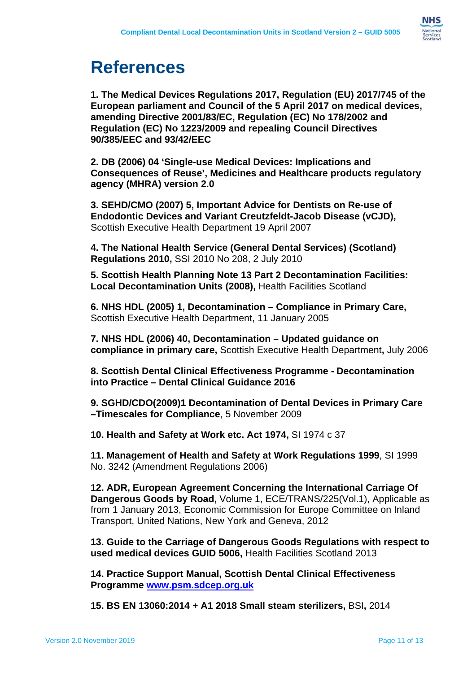

# **References**

**1. The Medical Devices Regulations 2017, Regulation (EU) 2017/745 of the European parliament and Council of the 5 April 2017 on medical devices, amending Directive 2001/83/EC, Regulation (EC) No 178/2002 and Regulation (EC) No 1223/2009 and repealing Council Directives 90/385/EEC and 93/42/EEC** 

**2. DB (2006) 04 'Single-use Medical Devices: Implications and Consequences of Reuse', Medicines and Healthcare products regulatory agency (MHRA) version 2.0** 

**3. SEHD/CMO (2007) 5, Important Advice for Dentists on Re-use of Endodontic Devices and Variant Creutzfeldt-Jacob Disease (vCJD),**  Scottish Executive Health Department 19 April 2007

**4. The National Health Service (General Dental Services) (Scotland) Regulations 2010,** SSI 2010 No 208, 2 July 2010

**5. Scottish Health Planning Note 13 Part 2 Decontamination Facilities: Local Decontamination Units (2008),** Health Facilities Scotland

**6. NHS HDL (2005) 1, Decontamination – Compliance in Primary Care,**  Scottish Executive Health Department, 11 January 2005

**7. NHS HDL (2006) 40, Decontamination – Updated guidance on compliance in primary care,** Scottish Executive Health Department**,** July 2006

**8. Scottish Dental Clinical Effectiveness Programme - Decontamination into Practice – Dental Clinical Guidance 2016** 

**9. SGHD/CDO(2009)1 Decontamination of Dental Devices in Primary Care –Timescales for Compliance**, 5 November 2009

**10. Health and Safety at Work etc. Act 1974,** SI 1974 c 37

**11. Management of Health and Safety at Work Regulations 1999**, SI 1999 No. 3242 (Amendment Regulations 2006)

**12. ADR, European Agreement Concerning the International Carriage Of Dangerous Goods by Road,** Volume 1, ECE/TRANS/225(Vol.1), Applicable as from 1 January 2013, Economic Commission for Europe Committee on Inland Transport, United Nations, New York and Geneva, 2012

**13. Guide to the Carriage of Dangerous Goods Regulations with respect to used medical devices GUID 5006,** Health Facilities Scotland 2013

**Programme www.psm.sdcep.org.uk 14. Practice Support Manual, Scottish Dental Clinical Effectiveness** 

**Programme<www.psm.sdcep.org.uk> 15. BS EN 13060:2014 + A1 2018 Small steam sterilizers,** BSI**,** <sup>2014</sup>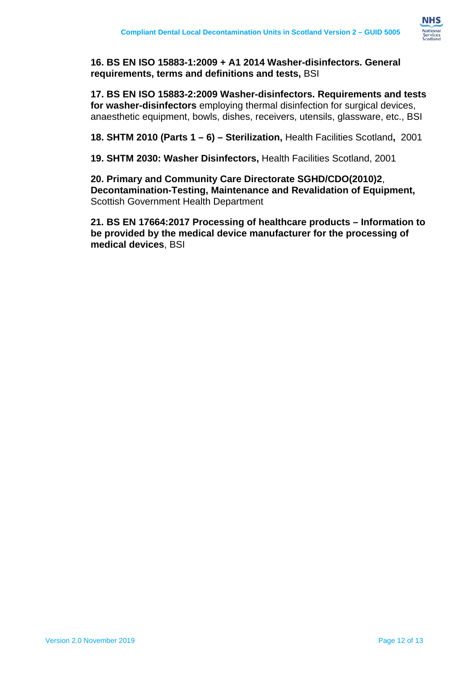

**16. BS EN ISO 15883-1:2009 + A1 2014 Washer-disinfectors. General requirements, terms and definitions and tests,** BSI

**17. BS EN ISO 15883-2:2009 Washer-disinfectors. Requirements and tests for washer-disinfectors** employing thermal disinfection for surgical devices, anaesthetic equipment, bowls, dishes, receivers, utensils, glassware, etc., BSI

**18. SHTM 2010 (Parts 1 – 6) – Sterilization,** Health Facilities Scotland**,** 2001

**19. SHTM 2030: Washer Disinfectors,** Health Facilities Scotland, 2001

**20. Primary and Community Care Directorate SGHD/CDO(2010)2**, **Decontamination-Testing, Maintenance and Revalidation of Equipment,**  Scottish Government Health Department

**21. BS EN 17664:2017 Processing of healthcare products – Information to be provided by the medical device manufacturer for the processing of medical devices**, BSI